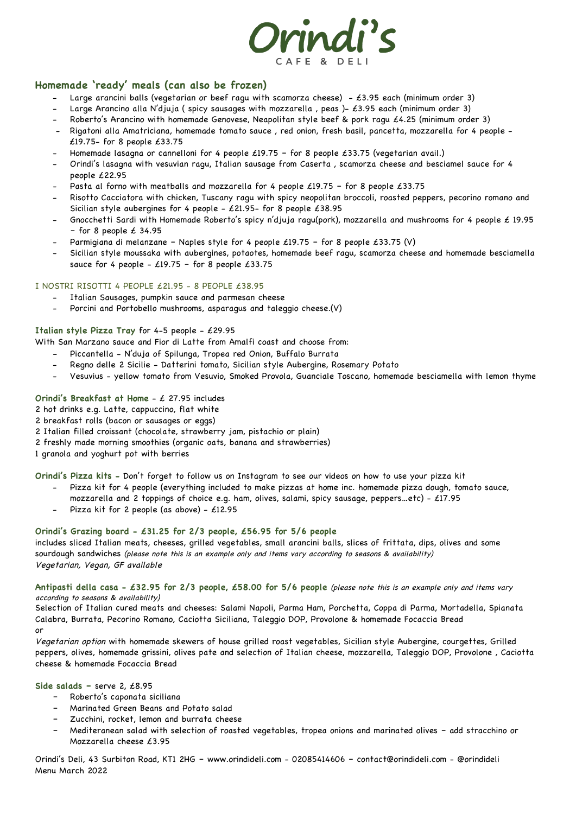

# **Homemade 'ready' meals (can also be frozen)**

- Large arancini balls (vegetarian or beef ragu with scamorza cheese) £3.95 each (minimum order 3)
- Large Arancino alla N'djuja ( spicy sausages with mozzarella , peas )- £3.95 each (minimum order 3)
- Roberto's Arancino with homemade Genovese, Neapolitan style beef & pork ragu £4.25 (minimum order 3)
- Rigatoni alla Amatriciana, homemade tomato sauce , red onion, fresh basil, pancetta, mozzarella for 4 people £19.75- for 8 people £33.75
- Homemade lasagna or cannelloni for 4 people £19.75 for 8 people £33.75 (vegetarian avail.)
- Orindi's lasagna with vesuvian ragu, Italian sausage from Caserta , scamorza cheese and besciamel sauce for 4 people £22.95
- Pasta al forno with meatballs and mozzarella for 4 people £19.75 for 8 people £33.75
- Risotto Cacciatora with chicken, Tuscany ragu with spicy neopolitan broccoli, roasted peppers, pecorino romano and Sicilian style aubergines for 4 people - £21.95- for 8 people £38.95
- Gnocchetti Sardi with Homemade Roberto's spicy n'djuja ragu(pork), mozzarella and mushrooms for 4 people £ 19.95  $-$  for 8 people £ 34.95
- Parmigiana di melanzane Naples style for 4 people £19.75 for 8 people £33.75 (V)
- Sicilian style moussaka with aubergines, potaotes, homemade beef ragu, scamorza cheese and homemade besciamella sauce for 4 people -  $£19.75 -$  for 8 people  $£33.75$

# I NOSTRI RISOTTI 4 PEOPLE £21.95 - 8 PEOPLE £38.95

- Italian Sausages, pumpkin sauce and parmesan cheese
- Porcini and Portobello mushrooms, asparagus and taleggio cheese.(V)

# **Italian style Pizza Tray** for 4-5 people - £29.95

With San Marzano sauce and Fior di Latte from Amalfi coast and choose from:

- Piccantella N'duja of Spilunga, Tropea red Onion, Buffalo Burrata
- Regno delle 2 Sicilie Datterini tomato, Sicilian style Aubergine, Rosemary Potato
- Vesuvius yellow tomato from Vesuvio, Smoked Provola, Guanciale Toscano, homemade besciamella with lemon thyme

# **Orindi's Breakfast at Home** - £ 27.95 includes

2 hot drinks e.g. Latte, cappuccino, flat white

- 2 breakfast rolls (bacon or sausages or eggs)
- 2 Italian filled croissant (chocolate, strawberry jam, pistachio or plain)
- 2 freshly made morning smoothies (organic oats, banana and strawberries)

1 granola and yoghurt pot with berries

**Orindi's Pizza kits -** Don't forget to follow us on Instagram to see our videos on how to use your pizza kit

- Pizza kit for 4 people (everything included to make pizzas at home inc. homemade pizza dough, tomato sauce,
	- mozzarella and 2 toppings of choice e.g. ham, olives, salami, spicy sausage, peppers…etc) £17.95
	- Pizza kit for 2 people (as above)  $£12.95$

#### **Orindi's Grazing board - £31.25 for 2/3 people, £56.95 for 5/6 people**

includes sliced Italian meats, cheeses, grilled vegetables, small arancini balls, slices of frittata, dips, olives and some sourdough sandwiches (please note this is an example only and items vary according to seasons & availability) Vegetarian, Vegan, GF available

#### **Antipasti della casa - £32.95 for 2/3 people, £58.00 for 5/6 people** (please note this is an example only and items vary according to seasons & availability)

Selection of Italian cured meats and cheeses: Salami Napoli, Parma Ham, Porchetta, Coppa di Parma, Mortadella, Spianata Calabra, Burrata, Pecorino Romano, Caciotta Siciliana, Taleggio DOP, Provolone & homemade Focaccia Bread or

Vegetarian option with homemade skewers of house grilled roast vegetables, Sicilian style Aubergine, courgettes, Grilled peppers, olives, homemade grissini, olives pate and selection of Italian cheese, mozzarella, Taleggio DOP, Provolone , Caciotta cheese & homemade Focaccia Bread

**Side salads –** serve 2, £8.95

- Roberto's caponata siciliana
- Marinated Green Beans and Potato salad
- Zucchini, rocket, lemon and burrata cheese
- Mediteranean salad with selection of roasted vegetables, tropea onions and marinated olives add stracchino or Mozzarella cheese £3.95

Orindi's Deli, 43 Surbiton Road, KT1 2HG – www.orindideli.com - 02085414606 – contact@orindideli.com - @orindideli Menu March 2022